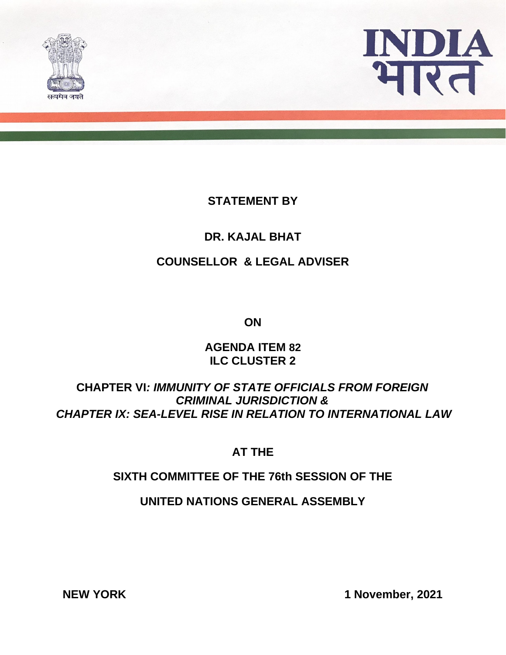



## **STATEMENT BY**

### **DR. KAJAL BHAT**

### **COUNSELLOR & LEGAL ADVISER**

**ON**

**AGENDA ITEM 82 ILC CLUSTER 2**

# **CHAPTER VI***: IMMUNITY OF STATE OFFICIALS FROM FOREIGN CRIMINAL JURISDICTION & CHAPTER IX: SEA-LEVEL RISE IN RELATION TO INTERNATIONAL LAW*

## **AT THE**

## **SIXTH COMMITTEE OF THE 76th SESSION OF THE**

**UNITED NATIONS GENERAL ASSEMBLY**

**NEW YORK 1 November, 2021**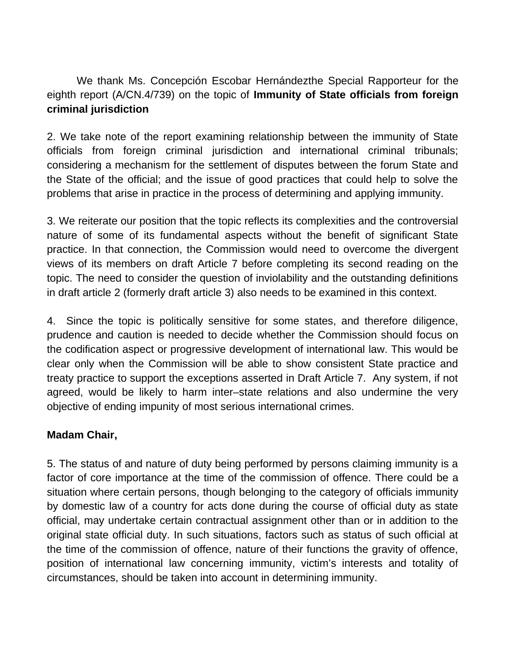We thank Ms. Concepción Escobar Hernándezthe Special Rapporteur for the eighth report (A/CN.4/739) on the topic of **Immunity of State officials from foreign criminal jurisdiction**

2. We take note of the report examining relationship between the immunity of State officials from foreign criminal jurisdiction and international criminal tribunals; considering a mechanism for the settlement of disputes between the forum State and the State of the official; and the issue of good practices that could help to solve the problems that arise in practice in the process of determining and applying immunity.

3. We reiterate our position that the topic reflects its complexities and the controversial nature of some of its fundamental aspects without the benefit of significant State practice. In that connection, the Commission would need to overcome the divergent views of its members on draft Article 7 before completing its second reading on the topic. The need to consider the question of inviolability and the outstanding definitions in draft article 2 (formerly draft article 3) also needs to be examined in this context.

4. Since the topic is politically sensitive for some states, and therefore diligence, prudence and caution is needed to decide whether the Commission should focus on the codification aspect or progressive development of international law. This would be clear only when the Commission will be able to show consistent State practice and treaty practice to support the exceptions asserted in Draft Article 7. Any system, if not agreed, would be likely to harm inter–state relations and also undermine the very objective of ending impunity of most serious international crimes.

### **Madam Chair,**

5. The status of and nature of duty being performed by persons claiming immunity is a factor of core importance at the time of the commission of offence. There could be a situation where certain persons, though belonging to the category of officials immunity by domestic law of a country for acts done during the course of official duty as state official, may undertake certain contractual assignment other than or in addition to the original state official duty. In such situations, factors such as status of such official at the time of the commission of offence, nature of their functions the gravity of offence, position of international law concerning immunity, victim's interests and totality of circumstances, should be taken into account in determining immunity.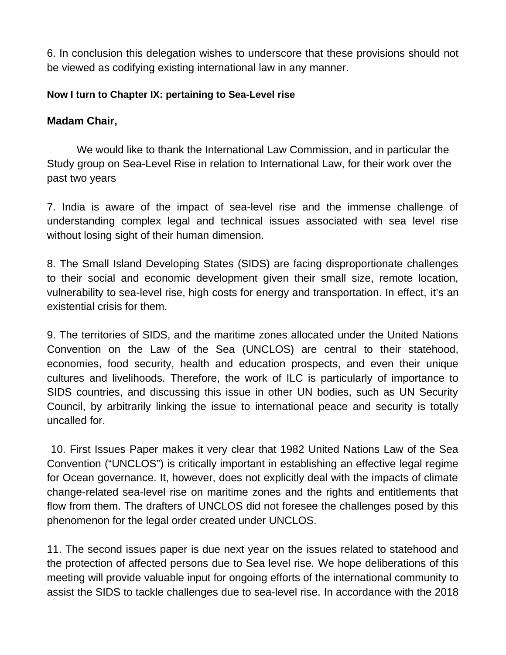6. In conclusion this delegation wishes to underscore that these provisions should not be viewed as codifying existing international law in any manner.

#### **Now I turn to Chapter IX: pertaining to Sea-Level rise**

### **Madam Chair,**

We would like to thank the International Law Commission, and in particular the Study group on Sea-Level Rise in relation to International Law, for their work over the past two years

7. India is aware of the impact of sea-level rise and the immense challenge of understanding complex legal and technical issues associated with sea level rise without losing sight of their human dimension.

8. The Small Island Developing States (SIDS) are facing disproportionate challenges to their social and economic development given their small size, remote location, vulnerability to sea-level rise, high costs for energy and transportation. In effect, it's an existential crisis for them.

9. The territories of SIDS, and the maritime zones allocated under the United Nations Convention on the Law of the Sea (UNCLOS) are central to their statehood, economies, food security, health and education prospects, and even their unique cultures and livelihoods. Therefore, the work of ILC is particularly of importance to SIDS countries, and discussing this issue in other UN bodies, such as UN Security Council, by arbitrarily linking the issue to international peace and security is totally uncalled for.

 10. First Issues Paper makes it very clear that 1982 United Nations Law of the Sea Convention ("UNCLOS") is critically important in establishing an effective legal regime for Ocean governance. It, however, does not explicitly deal with the impacts of climate change-related sea-level rise on maritime zones and the rights and entitlements that flow from them. The drafters of UNCLOS did not foresee the challenges posed by this phenomenon for the legal order created under UNCLOS.

11. The second issues paper is due next year on the issues related to statehood and the protection of affected persons due to Sea level rise. We hope deliberations of this meeting will provide valuable input for ongoing efforts of the international community to assist the SIDS to tackle challenges due to sea-level rise. In accordance with the 2018